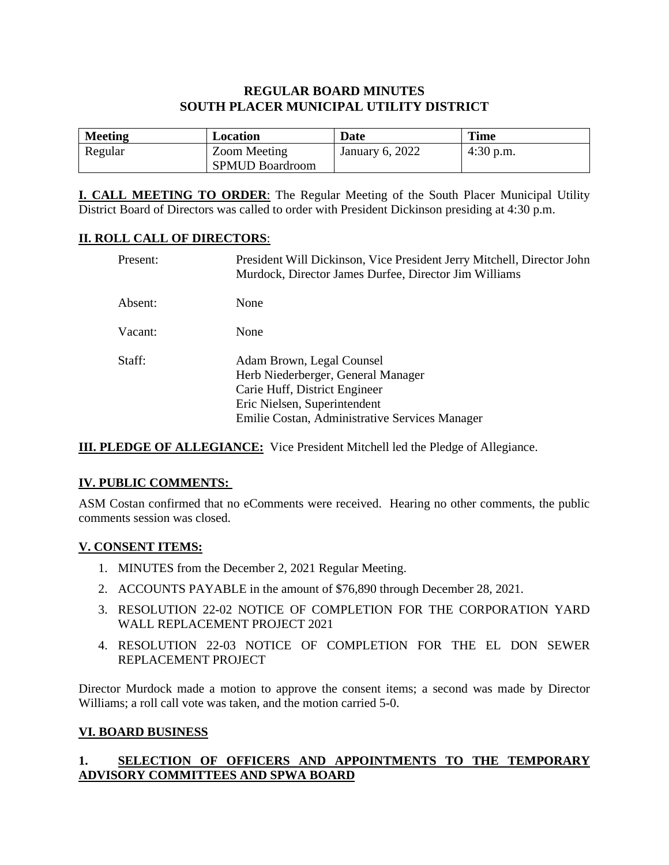# **REGULAR BOARD MINUTES SOUTH PLACER MUNICIPAL UTILITY DISTRICT**

| <b>Meeting</b> | Location                               | Date            | <b>Time</b> |
|----------------|----------------------------------------|-----------------|-------------|
| Regular        | Zoom Meeting<br><b>SPMUD Boardroom</b> | January 6, 2022 | $4:30$ p.m. |

**I. CALL MEETING TO ORDER**: The Regular Meeting of the South Placer Municipal Utility District Board of Directors was called to order with President Dickinson presiding at 4:30 p.m.

### **II. ROLL CALL OF DIRECTORS**:

| Present: | President Will Dickinson, Vice President Jerry Mitchell, Director John<br>Murdock, Director James Durfee, Director Jim Williams                                                    |
|----------|------------------------------------------------------------------------------------------------------------------------------------------------------------------------------------|
| Absent:  | None                                                                                                                                                                               |
| Vacant:  | None                                                                                                                                                                               |
| Staff:   | Adam Brown, Legal Counsel<br>Herb Niederberger, General Manager<br>Carie Huff, District Engineer<br>Eric Nielsen, Superintendent<br>Emilie Costan, Administrative Services Manager |

**III. PLEDGE OF ALLEGIANCE:** Vice President Mitchell led the Pledge of Allegiance.

### **IV. PUBLIC COMMENTS:**

ASM Costan confirmed that no eComments were received. Hearing no other comments, the public comments session was closed.

#### **V. CONSENT ITEMS:**

- 1. MINUTES from the December 2, 2021 Regular Meeting.
- 2. ACCOUNTS PAYABLE in the amount of \$76,890 through December 28, 2021.
- 3. RESOLUTION 22-02 NOTICE OF COMPLETION FOR THE CORPORATION YARD WALL REPLACEMENT PROJECT 2021
- 4. RESOLUTION 22-03 NOTICE OF COMPLETION FOR THE EL DON SEWER REPLACEMENT PROJECT

Director Murdock made a motion to approve the consent items; a second was made by Director Williams; a roll call vote was taken, and the motion carried 5-0.

### **VI. BOARD BUSINESS**

## **1. SELECTION OF OFFICERS AND APPOINTMENTS TO THE TEMPORARY ADVISORY COMMITTEES AND SPWA BOARD**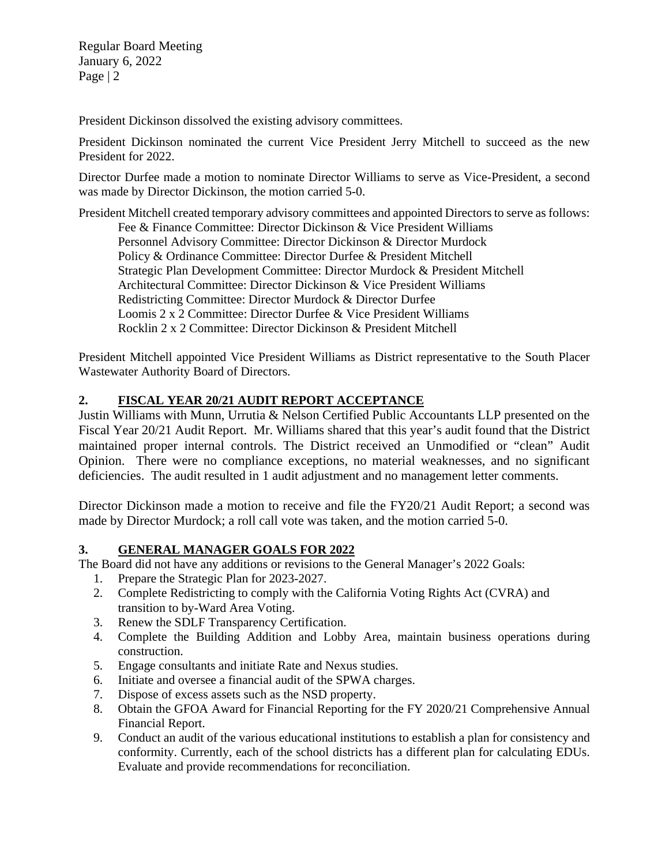Regular Board Meeting January 6, 2022 Page | 2

President Dickinson dissolved the existing advisory committees.

President Dickinson nominated the current Vice President Jerry Mitchell to succeed as the new President for 2022.

Director Durfee made a motion to nominate Director Williams to serve as Vice-President, a second was made by Director Dickinson, the motion carried 5-0.

President Mitchell created temporary advisory committees and appointed Directors to serve as follows: Fee & Finance Committee: Director Dickinson & Vice President Williams Personnel Advisory Committee: Director Dickinson & Director Murdock Policy & Ordinance Committee: Director Durfee & President Mitchell Strategic Plan Development Committee: Director Murdock & President Mitchell Architectural Committee: Director Dickinson & Vice President Williams Redistricting Committee: Director Murdock & Director Durfee Loomis 2 x 2 Committee: Director Durfee & Vice President Williams Rocklin 2 x 2 Committee: Director Dickinson & President Mitchell

President Mitchell appointed Vice President Williams as District representative to the South Placer Wastewater Authority Board of Directors.

## **2. FISCAL YEAR 20/21 AUDIT REPORT ACCEPTANCE**

Justin Williams with Munn, Urrutia & Nelson Certified Public Accountants LLP presented on the Fiscal Year 20/21 Audit Report. Mr. Williams shared that this year's audit found that the District maintained proper internal controls. The District received an Unmodified or "clean" Audit Opinion. There were no compliance exceptions, no material weaknesses, and no significant deficiencies. The audit resulted in 1 audit adjustment and no management letter comments.

Director Dickinson made a motion to receive and file the FY20/21 Audit Report; a second was made by Director Murdock; a roll call vote was taken, and the motion carried 5-0.

### **3. GENERAL MANAGER GOALS FOR 2022**

The Board did not have any additions or revisions to the General Manager's 2022 Goals:

- 1. Prepare the Strategic Plan for 2023-2027.<br>2. Complete Redistricting to comply with the
- 2. Complete Redistricting to comply with the California Voting Rights Act (CVRA) and transition to by-Ward Area Voting.
- 3. Renew the SDLF Transparency Certification.
- 4. Complete the Building Addition and Lobby Area, maintain business operations during construction.
- 5. Engage consultants and initiate Rate and Nexus studies.
- 6. Initiate and oversee a financial audit of the SPWA charges.
- 7. Dispose of excess assets such as the NSD property.
- 8. Obtain the GFOA Award for Financial Reporting for the FY 2020/21 Comprehensive Annual Financial Report.
- 9. Conduct an audit of the various educational institutions to establish a plan for consistency and conformity. Currently, each of the school districts has a different plan for calculating EDUs. Evaluate and provide recommendations for reconciliation.